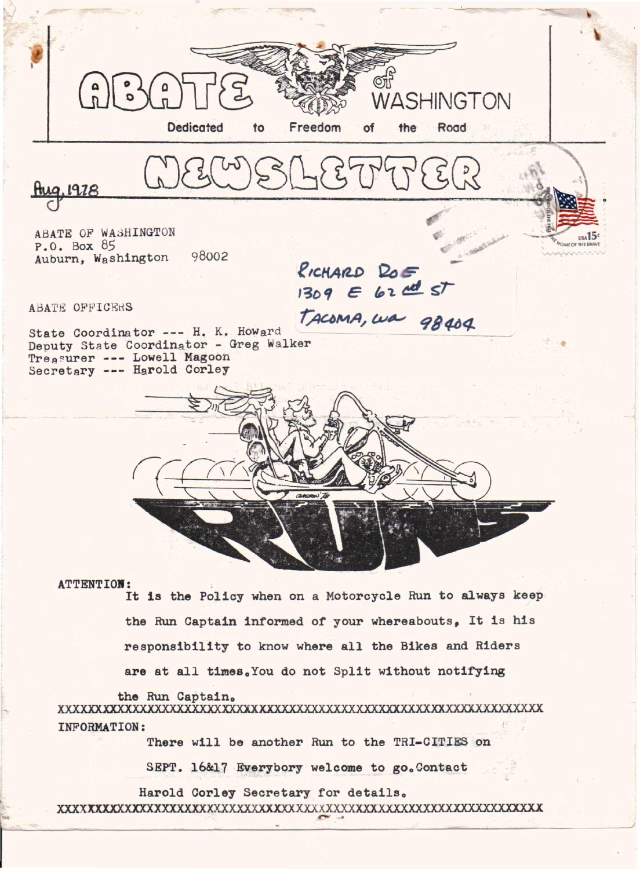

**ATTENTION:** 

It is the Policy when on a Motorcycle Run to always keep the Run Captain informed of your whereabouts, It is his responsibility to know where all the Bikes and Riders

are at all times. You do not Split without notifying

the Run Captain. **INFORMATION:** 

There will be another Run to the TRI-CITIES on

SEPT. 16&17 Everybory welcome to go. Contact

Harold Corley Secretary for details.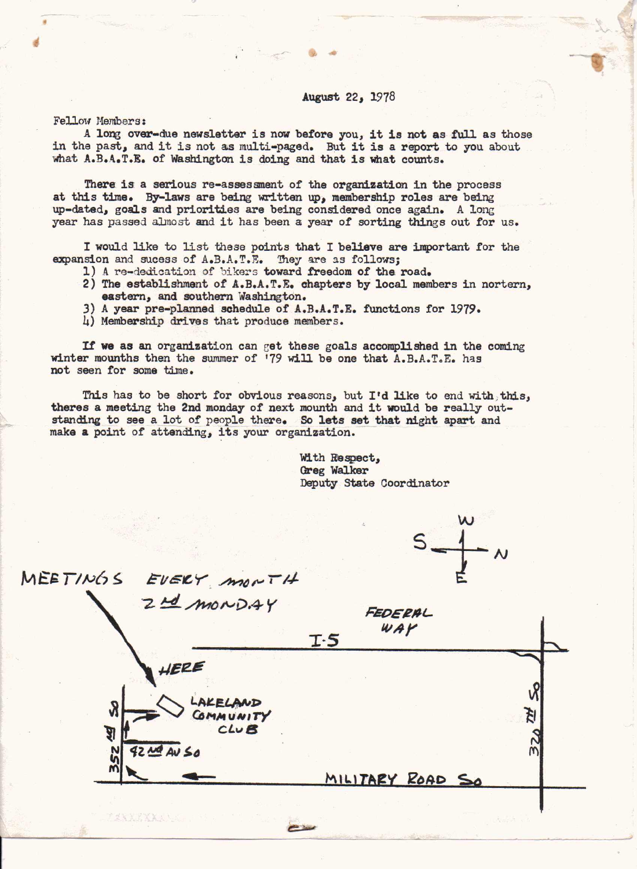## August *221 1978*

Fellow Members:

"

A long over-due newsletter is now before you, it is not as full as those in the past, and it is not as multi-paged. But it is a report to you about what A.B.A.T.E. of Washington is doing and that is what counts.

There is a serious re-assessment of the organization in the process at this time. By-laws are being written up, membership roles are being up-dated, goals and priorities are being considered once again. A long year has passed almost and it has been a year of sorting things out for us.

I would like to list these points that I believe are important for the expansion and sucess of A.B.A.T.E. They are as follows;

- 1) A re-dedication of bikers toward freedom of the road.
- 2) The establishment of A.B.A.T.E. chapters by local members in nortern, eastern, and southern Washington.
- 3) <sup>A</sup> year pre-planned schedule of A.B.A.T.E. functions for 1979.
- 4) Membership drives that produce members.

If we as an organization can get these goals accomplished in the coming winter mounths then the summer of '79 will be one that  $A.B.A.T.B.$  has not seen for some time.

This has to be short for obvious reasons, but I'd like to end with this, theres a meeting the 2nd monday of next mounth and it would be really outstanding to see a lot of people there. So lets set that night apart and make a point of attending, its your organization.

> With Respect, Greg Walker Deputy State Coordinator